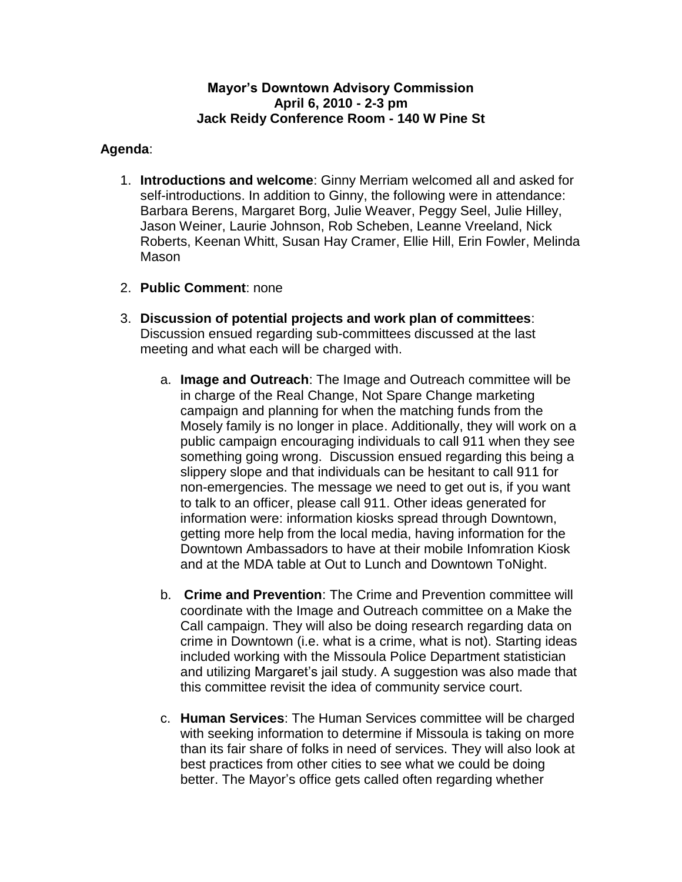## **Mayor's Downtown Advisory Commission April 6, 2010 - 2-3 pm Jack Reidy Conference Room - 140 W Pine St**

## **Agenda**:

- 1. **Introductions and welcome**: Ginny Merriam welcomed all and asked for self-introductions. In addition to Ginny, the following were in attendance: Barbara Berens, Margaret Borg, Julie Weaver, Peggy Seel, Julie Hilley, Jason Weiner, Laurie Johnson, Rob Scheben, Leanne Vreeland, Nick Roberts, Keenan Whitt, Susan Hay Cramer, Ellie Hill, Erin Fowler, Melinda Mason
- 2. **Public Comment**: none
- 3. **Discussion of potential projects and work plan of committees**: Discussion ensued regarding sub-committees discussed at the last meeting and what each will be charged with.
	- a. **Image and Outreach**: The Image and Outreach committee will be in charge of the Real Change, Not Spare Change marketing campaign and planning for when the matching funds from the Mosely family is no longer in place. Additionally, they will work on a public campaign encouraging individuals to call 911 when they see something going wrong. Discussion ensued regarding this being a slippery slope and that individuals can be hesitant to call 911 for non-emergencies. The message we need to get out is, if you want to talk to an officer, please call 911. Other ideas generated for information were: information kiosks spread through Downtown, getting more help from the local media, having information for the Downtown Ambassadors to have at their mobile Infomration Kiosk and at the MDA table at Out to Lunch and Downtown ToNight.
	- b. **Crime and Prevention**: The Crime and Prevention committee will coordinate with the Image and Outreach committee on a Make the Call campaign. They will also be doing research regarding data on crime in Downtown (i.e. what is a crime, what is not). Starting ideas included working with the Missoula Police Department statistician and utilizing Margaret's jail study. A suggestion was also made that this committee revisit the idea of community service court.
	- c. **Human Services**: The Human Services committee will be charged with seeking information to determine if Missoula is taking on more than its fair share of folks in need of services. They will also look at best practices from other cities to see what we could be doing better. The Mayor's office gets called often regarding whether